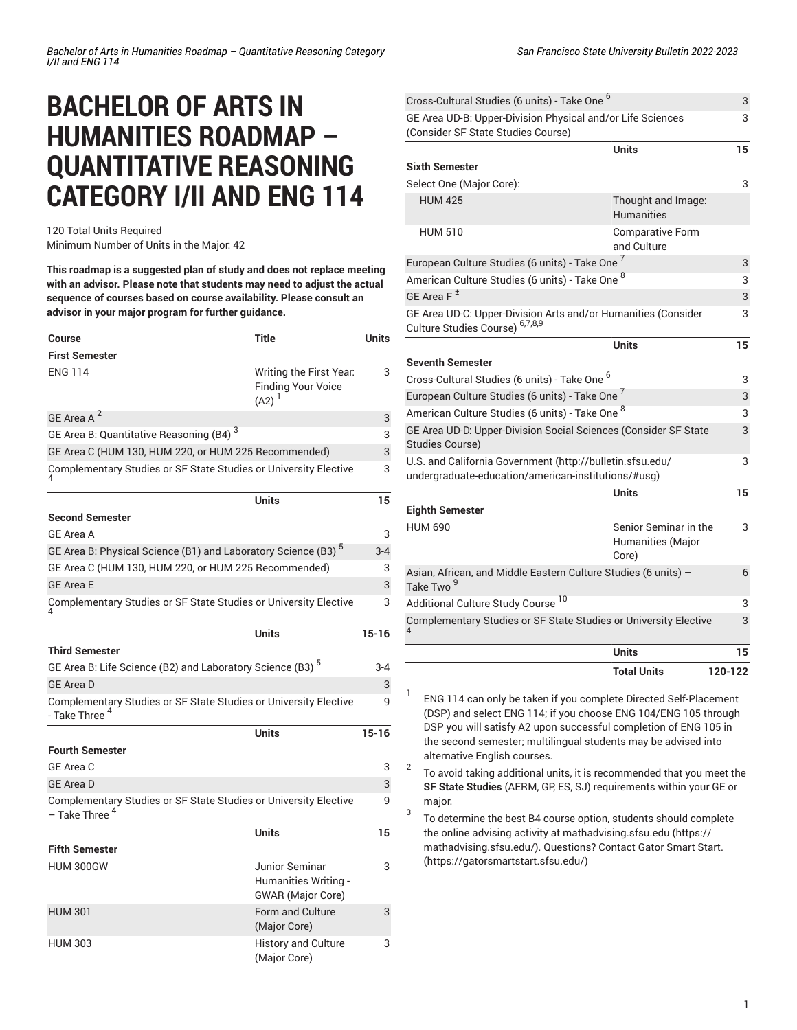# **BACHELOR OF ARTS IN HUMANITIES ROADMAP – QUANTITATIVE REASONING CATEGORY I/II AND ENG 114**

120 Total Units Required Minimum Number of Units in the Major: 42

**This roadmap is a suggested plan of study and does not replace meeting with an advisor. Please note that students may need to adjust the actual sequence of courses based on course availability. Please consult an advisor in your major program for further guidance.**

| <b>Course</b>                                                                                 | <b>Title</b>                                                       | <b>Units</b> |
|-----------------------------------------------------------------------------------------------|--------------------------------------------------------------------|--------------|
| <b>First Semester</b>                                                                         |                                                                    |              |
| <b>ENG 114</b>                                                                                | Writing the First Year.<br><b>Finding Your Voice</b><br>$(A2)^1$   | 3            |
| GE Area A <sup>2</sup>                                                                        |                                                                    | 3            |
| GE Area B: Quantitative Reasoning (B4) <sup>3</sup>                                           |                                                                    | 3            |
| GE Area C (HUM 130, HUM 220, or HUM 225 Recommended)                                          |                                                                    | 3            |
| Complementary Studies or SF State Studies or University Elective                              |                                                                    | 3            |
|                                                                                               | Units                                                              | 15           |
| Second Semester                                                                               |                                                                    |              |
| <b>GE Area A</b>                                                                              |                                                                    | 3            |
| GE Area B: Physical Science (B1) and Laboratory Science (B3) <sup>5</sup>                     |                                                                    | $3 - 4$      |
| GE Area C (HUM 130, HUM 220, or HUM 225 Recommended)                                          |                                                                    | 3            |
| <b>GE Area E</b>                                                                              |                                                                    | 3            |
| Complementary Studies or SF State Studies or University Elective                              |                                                                    | 3            |
|                                                                                               | Units                                                              | $15 - 16$    |
| <b>Third Semester</b>                                                                         |                                                                    |              |
| GE Area B: Life Science (B2) and Laboratory Science (B3) <sup>5</sup>                         |                                                                    | $3 - 4$      |
| GE Area D                                                                                     |                                                                    | 3            |
| Complementary Studies or SF State Studies or University Elective<br>- Take Three <sup>4</sup> |                                                                    | 9            |
|                                                                                               | <b>Units</b>                                                       | $15 - 16$    |
| <b>Fourth Semester</b>                                                                        |                                                                    |              |
| GE Area C                                                                                     |                                                                    | 3            |
| <b>GE Area D</b>                                                                              |                                                                    | 3            |
| Complementary Studies or SF State Studies or University Elective<br>- Take Three <sup>4</sup> |                                                                    | 9            |
|                                                                                               | Units                                                              | 15           |
| <b>Fifth Semester</b>                                                                         |                                                                    |              |
| <b>HUM 300GW</b>                                                                              | Junior Seminar<br>Humanities Writing -<br><b>GWAR</b> (Major Core) | 3            |
| <b>HUM 301</b>                                                                                | Form and Culture<br>(Major Core)                                   | 3            |
| <b>HUM 303</b>                                                                                | <b>History and Culture</b><br>(Major Core)                         | 3            |

| Cross-Cultural Studies (6 units) - Take One <sup>6</sup>                                                         |                                                     | 3       |
|------------------------------------------------------------------------------------------------------------------|-----------------------------------------------------|---------|
| GE Area UD-B: Upper-Division Physical and/or Life Sciences<br>(Consider SF State Studies Course)                 |                                                     | 3       |
|                                                                                                                  | <b>Units</b>                                        | 15      |
| <b>Sixth Semester</b>                                                                                            |                                                     |         |
| Select One (Major Core):                                                                                         |                                                     | 3       |
| <b>HUM 425</b>                                                                                                   | Thought and Image:<br><b>Humanities</b>             |         |
| <b>HUM 510</b>                                                                                                   | <b>Comparative Form</b><br>and Culture              |         |
| European Culture Studies (6 units) - Take One 7                                                                  |                                                     | 3       |
| American Culture Studies (6 units) - Take One <sup>8</sup>                                                       |                                                     |         |
| GE Area $F^{\pm}$                                                                                                |                                                     | 3       |
| GE Area UD-C: Upper-Division Arts and/or Humanities (Consider<br>Culture Studies Course) 6,7,8,9                 |                                                     | 3       |
|                                                                                                                  | <b>Units</b>                                        | 15      |
| <b>Seventh Semester</b>                                                                                          |                                                     |         |
| Cross-Cultural Studies (6 units) - Take One <sup>6</sup>                                                         |                                                     | 3       |
| European Culture Studies (6 units) - Take One <sup>7</sup>                                                       |                                                     | 3       |
| American Culture Studies (6 units) - Take One <sup>8</sup>                                                       |                                                     | 3       |
| GE Area UD-D: Upper-Division Social Sciences (Consider SF State<br>Studies Course)                               |                                                     | 3       |
| U.S. and California Government (http://bulletin.sfsu.edu/<br>undergraduate-education/american-institutions/#usg) |                                                     |         |
|                                                                                                                  | <b>Units</b>                                        | 15      |
| <b>Eighth Semester</b>                                                                                           |                                                     |         |
| <b>HUM 690</b>                                                                                                   | Senior Seminar in the<br>Humanities (Major<br>Core) | 3       |
| Asian, African, and Middle Eastern Culture Studies (6 units) -<br>Take Two <sup>9</sup>                          |                                                     | 6       |
| Additional Culture Study Course <sup>10</sup>                                                                    |                                                     | 3       |
| Complementary Studies or SF State Studies or University Elective                                                 |                                                     | 3       |
|                                                                                                                  | <b>Units</b>                                        | 15      |
|                                                                                                                  | <b>Total Units</b>                                  | 120-122 |

1 ENG 114 can only be taken if you complete Directed Self-Placement (DSP) and select ENG 114; if you choose ENG 104/ENG 105 through DSP you will satisfy A2 upon successful completion of ENG 105 in the second semester; multilingual students may be advised into alternative English courses.

2 To avoid taking additional units, it is recommended that you meet the **SF State Studies** (AERM, GP, ES, SJ) requirements within your GE or major. 3

To determine the best B4 course option, students should complete the online advising activity at [mathadvising.sfsu.edu \(https://](https://mathadvising.sfsu.edu/) [mathadvising.sfsu.edu/](https://mathadvising.sfsu.edu/)). Questions? Contact Gator [Smart](https://gatorsmartstart.sfsu.edu/) Start. [\(https://gatorsmartstart.sfsu.edu/](https://gatorsmartstart.sfsu.edu/))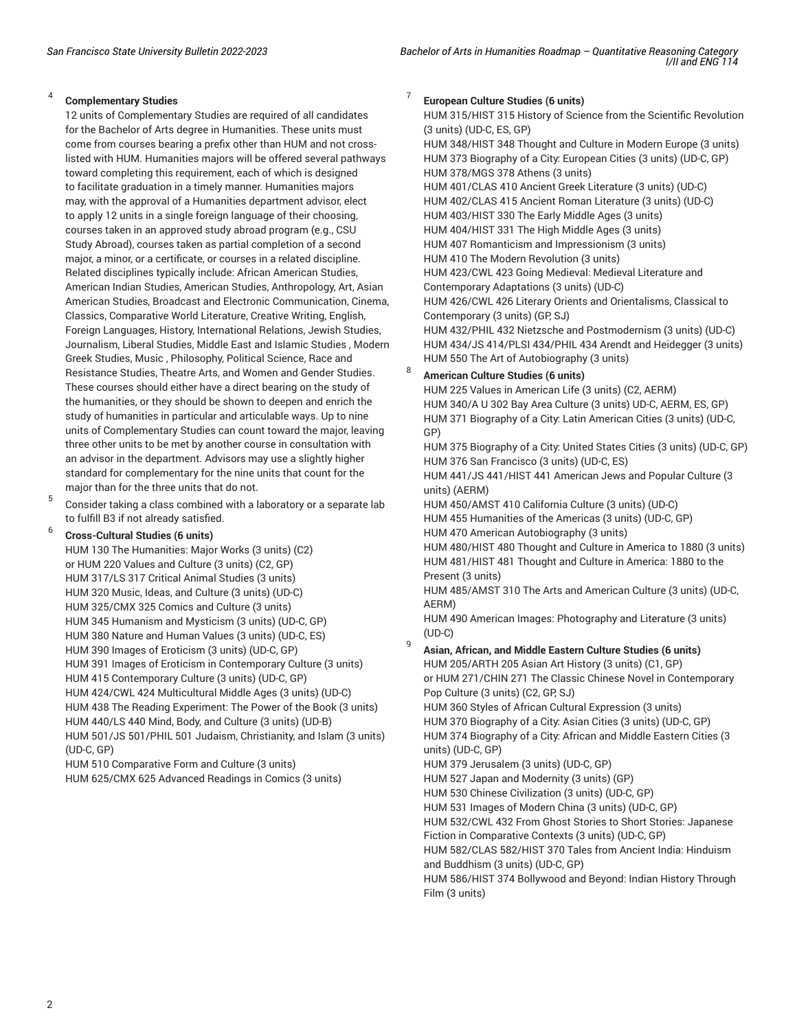#### 4 **Complementary Studies**

12 units of Complementary Studies are required of all candidates for the Bachelor of Arts degree in Humanities. These units must come from courses bearing a prefix other than HUM and not crosslisted with HUM. Humanities majors will be offered several pathways toward completing this requirement, each of which is designed to facilitate graduation in a timely manner. Humanities majors may, with the approval of a Humanities department advisor, elect to apply 12 units in a single foreign language of their choosing, courses taken in an approved study abroad program (e.g., CSU Study Abroad), courses taken as partial completion of a second major, a minor, or a certificate, or courses in a related discipline. Related disciplines typically include: African American Studies, American Indian Studies, American Studies, Anthropology, Art, Asian American Studies, Broadcast and Electronic Communication, Cinema, Classics, Comparative World Literature, Creative Writing, English, Foreign Languages, History, International Relations, Jewish Studies, Journalism, Liberal Studies, Middle East and Islamic Studies , Modern Greek Studies, Music , Philosophy, Political Science, Race and Resistance Studies, Theatre Arts, and Women and Gender Studies. These courses should either have a direct bearing on the study of the humanities, or they should be shown to deepen and enrich the study of humanities in particular and articulable ways. Up to nine units of Complementary Studies can count toward the major, leaving three other units to be met by another course in consultation with an advisor in the department. Advisors may use a slightly higher standard for complementary for the nine units that count for the major than for the three units that do not.

5 Consider taking a class combined with a laboratory or a separate lab to fulfill B3 if not already satisfied.

#### 6 **Cross-Cultural Studies (6 units)**

HUM 130 The Humanities: Major Works (3 units) (C2) or HUM 220 Values and Culture (3 units) (C2, GP) HUM 317/LS 317 Critical Animal Studies (3 units) HUM 320 Music, Ideas, and Culture (3 units) (UD-C) HUM 325/CMX 325 Comics and Culture (3 units) HUM 345 Humanism and Mysticism (3 units) (UD-C, GP) HUM 380 Nature and Human Values (3 units) (UD-C, ES) HUM 390 Images of Eroticism (3 units) (UD-C, GP) HUM 391 Images of Eroticism in Contemporary Culture (3 units) HUM 415 Contemporary Culture (3 units) (UD-C, GP) HUM 424/CWL 424 Multicultural Middle Ages (3 units) (UD-C) HUM 438 The Reading Experiment: The Power of the Book (3 units) HUM 440/LS 440 Mind, Body, and Culture (3 units) (UD-B) HUM 501/JS 501/PHIL 501 Judaism, Christianity, and Islam (3 units) (UD-C, GP)

HUM 510 Comparative Form and Culture (3 units) HUM 625/CMX 625 Advanced Readings in Comics (3 units)

#### 7 **European Culture Studies (6 units)**

HUM 315/HIST 315 History of Science from the Scientific Revolution (3 units) (UD-C, ES, GP)

HUM 348/HIST 348 Thought and Culture in Modern Europe (3 units) HUM 373 Biography of a City: European Cities (3 units) (UD-C, GP) HUM 378/MGS 378 Athens (3 units)

HUM 401/CLAS 410 Ancient Greek Literature (3 units) (UD-C) HUM 402/CLAS 415 Ancient Roman Literature (3 units) (UD-C) HUM 403/HIST 330 The Early Middle Ages (3 units) HUM 404/HIST 331 The High Middle Ages (3 units) HUM 407 Romanticism and Impressionism (3 units) HUM 410 The Modern Revolution (3 units) HUM 423/CWL 423 Going Medieval: Medieval Literature and Contemporary Adaptations (3 units) (UD-C) HUM 426/CWL 426 Literary Orients and Orientalisms, Classical to Contemporary (3 units) (GP, SJ) HUM 432/PHIL 432 Nietzsche and Postmodernism (3 units) (UD-C)

HUM 434/JS 414/PLSI 434/PHIL 434 Arendt and Heidegger (3 units) HUM 550 The Art of Autobiography (3 units)

### 8 **American Culture Studies (6 units)**

HUM 225 Values in American Life (3 units) (C2, AERM) HUM 340/A U 302 Bay Area Culture (3 units) UD-C, AERM, ES, GP) HUM 371 Biography of a City: Latin American Cities (3 units) (UD-C, GP)

HUM 375 Biography of a City: United States Cities (3 units) (UD-C, GP) HUM 376 San Francisco (3 units) (UD-C, ES)

HUM 441/JS 441/HIST 441 American Jews and Popular Culture (3 units) (AERM)

HUM 450/AMST 410 California Culture (3 units) (UD-C) HUM 455 Humanities of the Americas (3 units) (UD-C, GP) HUM 470 American Autobiography (3 units)

HUM 480/HIST 480 Thought and Culture in America to 1880 (3 units) HUM 481/HIST 481 Thought and Culture in America: 1880 to the Present (3 units)

HUM 485/AMST 310 The Arts and American Culture (3 units) (UD-C, AERM)

HUM 490 American Images: Photography and Literature (3 units) (UD-C)

#### 9 **Asian, African, and Middle Eastern Culture Studies (6 units)**

HUM 205/ARTH 205 Asian Art History (3 units) (C1, GP) or HUM 271/CHIN 271 The Classic Chinese Novel in Contemporary Pop Culture (3 units) (C2, GP, SJ)

HUM 360 Styles of African Cultural Expression (3 units) HUM 370 Biography of a City: Asian Cities (3 units) (UD-C, GP) HUM 374 Biography of a City: African and Middle Eastern Cities (3 units) (UD-C, GP)

HUM 379 Jerusalem (3 units) (UD-C, GP)

HUM 527 Japan and Modernity (3 units) (GP)

HUM 530 Chinese Civilization (3 units) (UD-C, GP)

HUM 531 Images of Modern China (3 units) (UD-C, GP)

HUM 532/CWL 432 From Ghost Stories to Short Stories: Japanese Fiction in Comparative Contexts (3 units) (UD-C, GP)

HUM 582/CLAS 582/HIST 370 Tales from Ancient India: Hinduism and Buddhism (3 units) (UD-C, GP)

HUM 586/HIST 374 Bollywood and Beyond: Indian History Through Film (3 units)